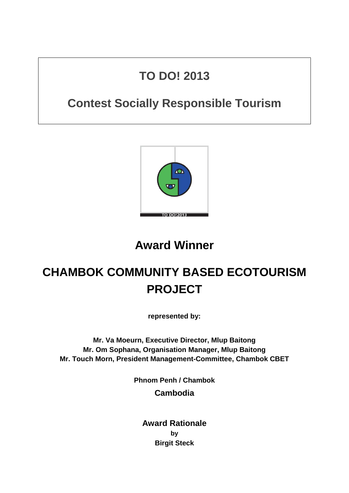## **TO DO! 2013**

## **Contest Socially Responsible Tourism**



## **Award Winner**

# **CHAMBOK COMMUNITY BASED ECOTOURISM PROJECT**

**represented by:**

**Mr. Va Moeurn, Executive Director, Mlup Baitong Mr. Om Sophana, Organisation Manager, Mlup Baitong Mr. Touch Morn, President Management-Committee, Chambok CBET**

**Phnom Penh / Chambok**

**Cambodia**

**Award Rationale by Birgit Steck**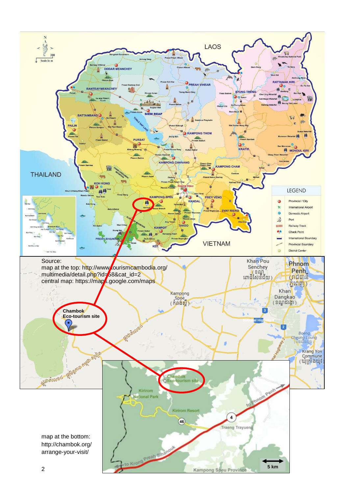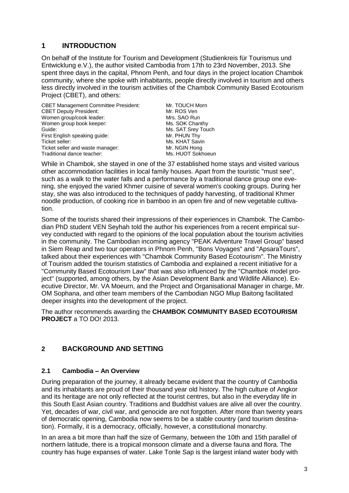## **1 INTRODUCTION**

On behalf of the Institute for Tourism and Development (Studienkreis für Tourismus und Entwicklung e.V.), the author visited Cambodia from 17th to 23rd November, 2013. She spent three days in the capital, Phnom Penh, and four days in the project location Chambok community, where she spoke with inhabitants, people directly involved in tourism and others less directly involved in the tourism activities of the Chambok Community Based Ecotourism Project (CBET), and others:

CBET Management Committee President: Mr. TOUCH Morn CBET Deputy President: Mr. ROS Ven Women group/cook leader: Mrs. SAO Run Women group book keeper: Ms. SOK Chanthy Guide: Guide: Ms. SAT Srey Touch<br>
First English speaking guide: Mr. PHUN Thy First English speaking guide: Ticket seller: Ms. KHAT Savin Ticket seller and waste manager: Mr. NGIN Hong Traditional dance teacher: Ms. HUOT Sokhoeun

While in Chambok, she stayed in one of the 37 established home stays and visited various other accommodation facilities in local family houses. Apart from the touristic "must see", such as a walk to the water falls and a performance by a traditional dance group one evening, she enjoyed the varied Khmer cuisine of several women's cooking groups. During her stay, she was also introduced to the techniques of paddy harvesting, of traditional Khmer noodle production, of cooking rice in bamboo in an open fire and of new vegetable cultivation.

Some of the tourists shared their impressions of their experiences in Chambok. The Cambodian PhD student VEN Seyhah told the author his experiences from a recent empirical survey conducted with regard to the opinions of the local population about the tourism activities in the community. The Cambodian incoming agency "PEAK Adventure Travel Group" based in Siem Reap and two tour operators in Phnom Penh, "Bons Voyages" and "ApsaraTours", talked about their experiences with "Chambok Community Based Ecotourism". The Ministry of Tourism added the tourism statistics of Cambodia and explained a recent initiative for a "Community Based Ecotourism Law" that was also influenced by the "Chambok model project" (supported, among others, by the Asian Development Bank and Wildlife Alliance). Executive Director, Mr. VA Moeurn, and the Project and Organisational Manager in charge, Mr. OM Sophana, and other team members of the Cambodian NGO Mlup Baitong facilitated deeper insights into the development of the project.

The author recommends awarding the **CHAMBOK COMMUNITY BASED ECOTOURISM PROJECT** a TO DO! 2013.

## **2 BACKGROUND AND SETTING**

#### **2.1 Cambodia – An Overview**

During preparation of the journey, it already became evident that the country of Cambodia and its inhabitants are proud of their thousand year old history. The high culture of Angkor and its heritage are not only reflected at the tourist centres, but also in the everyday life in this South East Asian country. Traditions and Buddhist values are alive all over the country. Yet, decades of war, civil war, and genocide are not forgotten. After more than twenty years of democratic opening, Cambodia now seems to be a stable country (and tourism destination). Formally, it is a democracy, officially, however, a constitutional monarchy.

In an area a bit more than half the size of Germany, between the 10th and 15th parallel of northern latitude, there is a tropical monsoon climate and a diverse fauna and flora. The country has huge expanses of water. Lake Tonle Sap is the largest inland water body with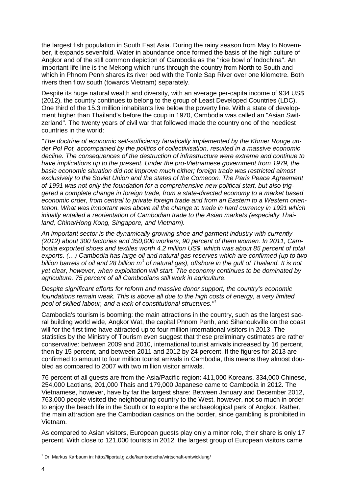the largest fish population in South East Asia. During the rainy season from May to November, it expands sevenfold. Water in abundance once formed the basis of the high culture of Angkor and of the still common depiction of Cambodia as the "rice bowl of Indochina". An important life line is the Mekong which runs through the country from North to South and which in Phnom Penh shares its river bed with the Tonle Sap River over one kilometre. Both rivers then flow south (towards Vietnam) separately.

Despite its huge natural wealth and diversity, with an average per-capita income of 934 US\$ (2012), the country continues to belong to the group of Least Developed Countries (LDC). One third of the 15.3 million inhabitants live below the poverty line. With a state of development higher than Thailand's before the coup in 1970, Cambodia was called an "Asian Switzerland". The twenty years of civil war that followed made the country one of the neediest countries in the world:

*"The doctrine of economic self-sufficiency fanatically implemented by the [Khmer](http://countrystudies.us/cambodia/61.htm) Rouge under Pol Pot, accompanied by the politics of collectivisation, resulted in a massive economic decline. The consequences of the destruction of infrastructure were extreme and continue to have implications up to the present. Under the pro-Vietnamese government from 1979, the basic economic situation did not improve much either; foreign trade was restricted almost exclusively to the Soviet Union and the states of the Comecon. The [Paris Peace Agreement](http://www.khmerinstitute.org/docs/PPA1991.htm)  [of 1](http://www.khmerinstitute.org/docs/PPA1991.htm)991 was not only the foundation for a comprehensive new political start, but also triggered a complete change in foreign trade, from a state-directed economy to a market based economic order, from central to private foreign trade and from an Eastern to a Western orientation. What was important was above all the change to trade in hard currency in 1991 which initially entailed a reorientation of Cambodian trade to the Asian markets (especially Thailand, China/Hong Kong, Singapore, and Vietnam).*

*An important sector is the dynamically growing [shoe and garment industry w](http://www.odi.org.uk/resources/download/1857.pdf)ith currently (2012) about 300 factories and 350,000 workers, 90 percent of them women. In 2011, Cambodia exported shoes and textiles worth 4.2 million US\$, which was about 85 percent of total exports. (…) Cambodia has large oil and natural gas reserves which are confirmed (up to two billion barrels of oil and 28 billion m 3 of natural gas), offshore in the gulf of Thailand. It is not yet clear, however, when exploitation will start. The economy continues to be dominated by agriculture. 75 percent of all Cambodians still work in agriculture.*

*Despite significant efforts for reform and massive donor support, the country's economic foundations remain weak. This is above all due to the high costs of energy, a very limited pool of skilled labour, and a lack of constitutional structures." 1*

Cambodia's tourism is booming: the main attractions in the country, such as the largest sacral building world wide, Angkor Wat, the capital Phnom Penh, and Sihanoukville on the coast will for the first time have attracted up to four million international visitors in 2013. The [statistics by the Ministry of Tourism](http://www.tourismcambodia.org/images/mot/statistic_reports/tourism_statistics_november_2012.pdf) even suggest that these preliminary estimates are rather conservative: between 2009 and 2010, international tourist arrivals increased by 16 percent, then by 15 percent, and between 2011 and 2012 by 24 percent. If the figures for 2013 are confirmed to amount to four million tourist arrivals in Cambodia, this means they almost doubled as compared to 2007 with two million visitor arrivals.

76 percent of all guests are from the Asia/Pacific region: 411,000 Koreans, 334,000 Chinese, 254,000 Laotians, 201,000 Thais and 179,000 Japanese came to Cambodia in 2012. The Vietnamese, however, have by far the largest share: Between January and December 2012, 763,000 people visited the neighbouring country to the West, however, not so much in order to enjoy the beach life in the South or to explore the archaeological park of Angkor. Rather, the main attraction are the Cambodian casinos on the border, since gambling is prohibited in Vietnam.

As compared to Asian visitors, European guests play only a minor role, their share is only 17 percent. With close to 121,000 tourists in 2012, the largest group of European visitors came

1

 $1$  Dr. Markus Karbaum in: http://liportal.giz.de/kambodscha/wirtschaft-entwicklung/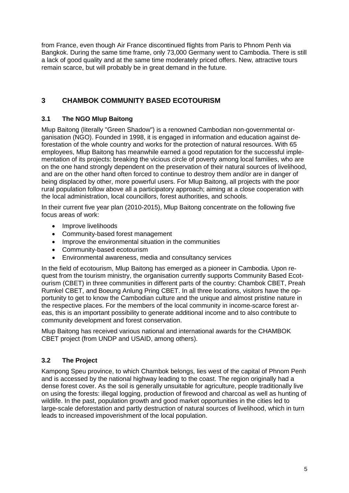from France, even though Air France discontinued flights from Paris to Phnom Penh via Bangkok. During the same time frame, only 73,000 Germany went to Cambodia. There is still a lack of good quality and at the same time moderately priced offers. New, [attractive tours](http://www.holidaymaxx.de/angebote.php)  [remain scarce,](http://www.holidaymaxx.de/angebote.php) but will probably be in great demand in the future.

## **3 CHAMBOK COMMUNITY BASED ECOTOURISM**

## **3.1 The NGO Mlup Baitong**

Mlup Baitong (literally "Green Shadow") is a renowned Cambodian non-governmental organisation (NGO). Founded in 1998, it is engaged in information and education against deforestation of the whole country and works for the protection of natural resources. With 65 employees, Mlup Baitong has meanwhile earned a good reputation for the successful implementation of its projects: breaking the vicious circle of poverty among local families, who are on the one hand strongly dependent on the preservation of their natural sources of livelihood, and are on the other hand often forced to continue to destroy them and/or are in danger of being displaced by other, more powerful users. For Mlup Baitong, all projects with the poor rural population follow above all a participatory approach; aiming at a close cooperation with the local administration, local councillors, forest authorities, and schools.

In their current five year plan (2010-2015), Mlup Baitong concentrate on the following five focus areas of work:

- Improve livelihoods
- Community-based forest management
- Improve the environmental situation in the communities
- Community-based ecotourism
- Environmental awareness, media and consultancy services

In the field of ecotourism, Mlup Baitong has emerged as a pioneer in Cambodia. Upon request from the tourism ministry, the organisation currently supports Community Based Ecotourism (CBET) in three communities in different parts of the country: Chambok CBET, Preah Rumkel CBET, and Boeung Anlung Pring CBET. In all three locations, visitors have the opportunity to get to know the Cambodian culture and the unique and almost pristine nature in the respective places. For the members of the local community in income-scarce forest areas, this is an important possibility to generate additional income and to also contribute to community development and forest conservation.

Mlup Baitong has received various national and international awards for the CHAMBOK CBET project (from UNDP and USAID, among others).

## **3.2 The Project**

Kampong Speu province, to which Chambok belongs, lies west of the capital of Phnom Penh and is accessed by the national highway leading to the coast. The region originally had a dense forest cover. As the soil is generally unsuitable for agriculture, people traditionally live on using the forests: illegal logging, production of firewood and charcoal as well as hunting of wildlife. In the past, population growth and good market opportunities in the cities led to large-scale deforestation and partly destruction of natural sources of livelihood, which in turn leads to increased impoverishment of the local population.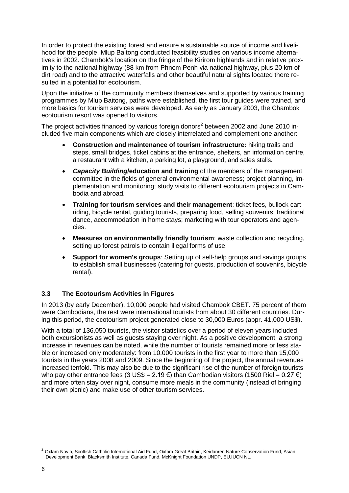In order to protect the existing forest and ensure a sustainable source of income and livelihood for the people, Mlup Baitong conducted feasibility studies on various income alternatives in 2002. Chambok's location on the fringe of the Kirirom highlands and in relative proximity to the national highway (88 km from Phnom Penh via national highway, plus 20 km of dirt road) and to the attractive waterfalls and other beautiful natural sights located there resulted in a potential for ecotourism.

Upon the initiative of the community members themselves and supported by various training programmes by Mlup Baitong, paths were established, the first tour guides were trained, and more basics for tourism services were developed. As early as January 2003, the Chambok ecotourism resort was opened to visitors.

The project activities financed by various foreign donors<sup>2</sup> between 2002 and June 2010 included five main components which are closely interrelated and complement one another:

- **Construction and maintenance of tourism infrastructure:** hiking trails and steps, small bridges, ticket cabins at the entrance, shelters, an information centre, a restaurant with a kitchen, a parking lot, a playground, and sales stalls.
- *Capacity Building***/education and training** of the members of the management committee in the fields of general environmental awareness; project planning, implementation and monitoring; study visits to different ecotourism projects in Cambodia and abroad.
- **Training for tourism services and their management**: ticket fees, bullock cart riding, bicycle rental, guiding tourists, preparing food, selling souvenirs, traditional dance, accommodation in home stays; marketing with tour operators and agencies.
- **Measures on environmentally friendly tourism**: waste collection and recycling, setting up forest patrols to contain illegal forms of use.
- **Support for women's groups**: Setting up of self-help groups and savings groups to establish small businesses (catering for guests, production of souvenirs, bicycle rental).

#### **3.3 The Ecotourism Activities in Figures**

In 2013 (by early December), 10,000 people had visited Chambok CBET. 75 percent of them were Cambodians, the rest were international tourists from about 30 different countries. During this period, the ecotourism project generated close to 30,000 Euros (appr. 41,000 US\$).

With a total of 136,050 tourists, the visitor statistics over a period of eleven years included both excursionists as well as guests staying over night. As a positive development, a strong increase in revenues can be noted, while the number of tourists remained more or less stable or increased only moderately: from 10,000 tourists in the first year to more than 15,000 tourists in the years 2008 and 2009. Since the beginning of the project, the annual revenues increased tenfold. This may also be due to the significant rise of the number of foreign tourists who pay other entrance fees (3 US\$ =  $2.19 \in \mathcal{E}$ ) than Cambodian visitors (1500 Riel = 0.27  $\in$ ) and more often stay over night, consume more meals in the community (instead of bringing their own picnic) and make use of other tourism services.

1

 $^2$  Oxfam Novib, Scottish Catholic International Aid Fund, Oxfam Great Britain, Keidanren Nature Conservation Fund, Asian Development Bank, Blacksmith Institute, Canada Fund, McKnight Foundation UNDP, EU,IUCN NL.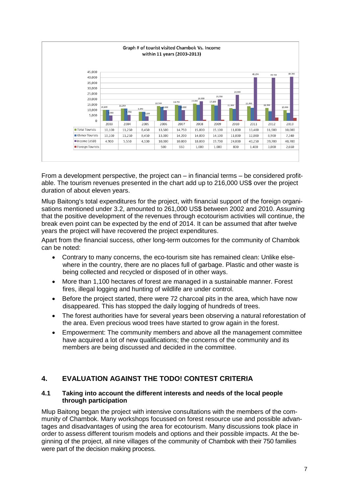

From a development perspective, the project can – in financial terms – be considered profitable. The tourism revenues presented in the chart add up to 216,000 US\$ over the project duration of about eleven years.

Mlup Baitong's total expenditures for the project, with financial support of the foreign organisations mentioned under 3.2, amounted to 261,000 US\$ between 2002 and 2010. Assuming that the positive development of the revenues through ecotourism activities will continue, the break even point can be expected by the end of 2014. It can be assumed that after twelve years the project will have recovered the project expenditures.

Apart from the financial success, other long-term outcomes for the community of Chambok can be noted:

- Contrary to many concerns, the eco-tourism site has remained clean: Unlike elsewhere in the country, there are no places full of garbage. Plastic and other waste is being collected and recycled or disposed of in other ways.
- More than 1,100 hectares of forest are managed in a sustainable manner. Forest fires, illegal logging and hunting of wildlife are under control.
- Before the project started, there were 72 [charcoal](http://dict.leo.org/ende/index_de.html#/search=charcoal&searchLoc=0&resultOrder=basic&multiwordShowSingle=on) pits in the area, which have now disappeared. This has stopped the daily logging of hundreds of trees.
- The forest authorities have for several years been observing a natural reforestation of the area. Even precious wood trees have started to grow again in the forest.
- Empowerment: The community members and above all the management committee have acquired a lot of new qualifications; the concerns of the community and its members are being discussed and decided in the committee.

## **4. EVALUATION AGAINST THE TODO! CONTEST CRITERIA**

#### **4.1 Taking into account the different interests and needs of the local people through participation**

Mlup Baitong began the project with intensive consultations with the members of the community of Chambok. Many workshops focussed on forest resource use and possible advantages and disadvantages of using the area for ecotourism. Many discussions took place in order to assess different tourism models and options and their possible impacts. At the beginning of the project, all nine villages of the community of Chambok with their 750 families were part of the decision making process.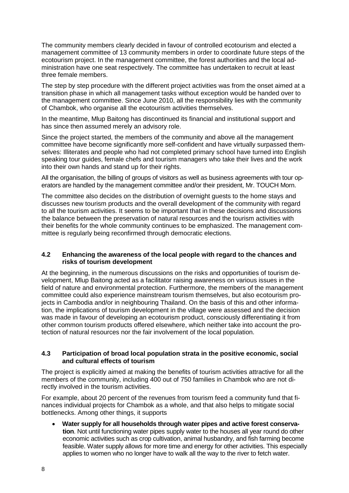The community members clearly decided in favour of controlled ecotourism and elected a management committee of 13 community members in order to coordinate future steps of the ecotourism project. In the management committee, the forest authorities and the local administration have one seat respectively. The committee has undertaken to recruit at least three female members.

The step by step procedure with the different project activities was from the onset aimed at a transition phase in which all management tasks without exception would be handed over to the management committee. Since June 2010, all the responsibility lies with the community of Chambok, who organise all the ecotourism activities themselves.

In the meantime, Mlup Baitong has discontinued its financial and institutional support and has since then assumed merely an advisory role.

Since the project started, the members of the community and above all the management committee have become significantly more self-confident and have virtually surpassed themselves: Illiterates and people who had not completed primary school have turned into English speaking tour guides, female chefs and tourism managers who take their lives and the work into their own hands and stand up for their rights.

All the organisation, the billing of groups of visitors as well as business agreements with tour operators are handled by the management committee and/or their president, Mr. TOUCH Morn.

The committee also decides on the distribution of overnight guests to the home stays and discusses new tourism products and the overall development of the community with regard to all the tourism activities. It seems to be important that in these decisions and discussions the balance between the preservation of natural resources and the tourism activities with their benefits for the whole community continues to be emphasized. The management committee is regularly being reconfirmed through democratic elections.

#### **4.2 Enhancing the awareness of the local people with regard to the chances and risks of tourism development**

At the beginning, in the numerous discussions on the risks and opportunities of tourism development, Mlup Baitong acted as a facilitator raising awareness on various issues in the field of nature and environmental protection. Furthermore, the members of the management committee could also experience mainstream tourism themselves, but also ecotourism projects in Cambodia and/or in neighbouring Thailand. On the basis of this and other information, the implications of tourism development in the village were assessed and the decision was made in favour of developing an ecotourism product, consciously differentiating it from other common tourism products offered elsewhere, which neither take into account the protection of natural resources nor the fair involvement of the local population.

#### **4.3 Participation of broad local population strata in the positive economic, social and cultural effects of tourism**

The project is explicitly aimed at making the benefits of tourism activities attractive for all the members of the community, including 400 out of 750 families in Chambok who are not directly involved in the tourism activities.

For example, about 20 percent of the revenues from tourism feed a community fund that finances individual projects for Chambok as a whole, and that also helps to mitigate social bottlenecks. Among other things, it supports

 **Water supply for all households through water pipes and active forest conservation**. Not until functioning water pipes supply water to the houses all year round do other economic activities such as crop cultivation, animal husbandry, and fish farming become feasible. Water supply allows for more time and energy for other activities. This especially applies to women who no longer have to walk all the way to the river to fetch water.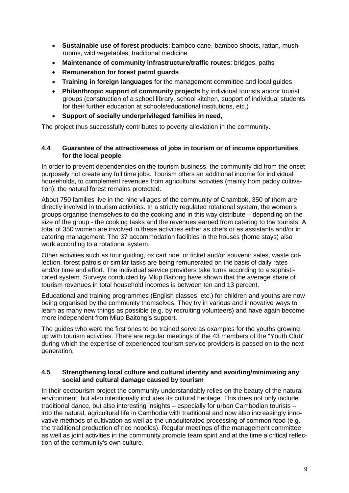- **Sustainable use of forest products**: bamboo cane, bamboo shoots, rattan, mushrooms, wild vegetables, traditional medicine
- **Maintenance of community infrastructure/traffic routes**: bridges, paths
- **Remuneration for forest patrol guards**
- **Training in foreign languages** for the management committee and local guides
- **Philanthropic support of community projects** by individual tourists and/or tourist groups (construction of a school library, school kitchen, support of individual students for their further education at schools/educational institutions, etc.)
- **Support of socially underprivileged families in need,**

The project thus successfully contributes to poverty alleviation in the community.

#### **4.4 Guarantee of the attractiveness of jobs in tourism or of income opportunities for the local people**

In order to prevent dependencies on the tourism business, the community did from the onset purposely not create any full time jobs. Tourism offers an additional income for individual households, to complement revenues from agricultural activities (mainly from paddy cultivation), the natural forest remains protected.

About 750 families live in the nine villages of the community of Chambok, 350 of them are directly involved in tourism activities. In a strictly regulated rotational system, the women's groups organise themselves to do the cooking and in this way distribute – depending on the size of the group - the cooking tasks and the revenues earned from catering to the tourists. A total of 350 women are involved in these activities either as chefs or as assistants and/or in catering management. The 37 accommodation facilities in the houses (home stays) also work according to a rotational system.

Other activities such as tour guiding, ox cart ride, or ticket and/or souvenir sales, waste collection, forest patrols or similar tasks are being remunerated on the basis of daily rates and/or time and effort. The individual service providers take turns according to a sophisticated system. Surveys conducted by Mlup Baitong have shown that the average share of tourism revenues in total household incomes is between ten and 13 percent.

Educational and training programmes (English classes, etc.) for children and youths are now being organised by the community themselves. They try in various and innovative ways to learn as many new things as possible (e.g. by recruiting volunteers) and have again become more independent from Mlup Baitong's support.

The guides who were the first ones to be trained serve as examples for the youths growing up with tourism activities. There are regular meetings of the 43 members of the "Youth Club" during which the expertise of experienced tourism service providers is passed on to the next generation.

#### **4.5 Strengthening local culture and cultural identity and avoiding/minimising any social and cultural damage caused by tourism**

In their ecotourism project the community understandably relies on the beauty of the natural environment, but also intentionally includes its cultural heritage. This does not only include traditional dance, but also interesting insights – especially for urban Cambodian tourists – into the natural, agricultural life in Cambodia with traditional and now also increasingly innovative methods of cultivation as well as the unadulterated processing of common food (e.g. the traditional production of rice noodles). Regular meetings of the management committee as well as joint activities in the community promote team spirit and at the time a critical reflection of the community's own culture.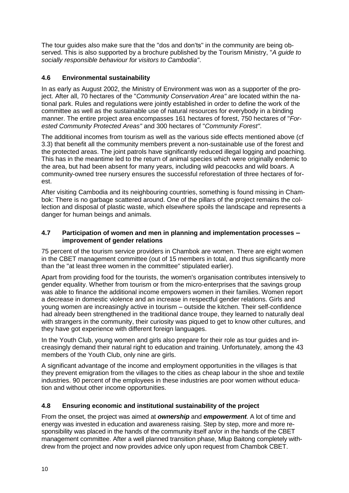The tour guides also make sure that the "dos and don'ts" in the community are being observed. This is also supported by a brochure published by the Tourism Ministry, "*A guide to socially responsible behaviour for visitors to Cambodia"*.

### **4.6 Environmental sustainability**

In as early as August 2002, the Ministry of Environment was won as a supporter of the project. After all, 70 hectares of the "*Community Conservation Area"* are located within the national park. Rules and regulations were jointly established in order to define the work of the committee as well as the sustainable use of natural resources for everybody in a binding manner. The entire project area encompasses 161 hectares of forest, 750 hectares of "*Forested Community Protected Areas"* and 300 hectares of "*Community Forest"*.

The additional incomes from tourism as well as the various side effects mentioned above (cf 3.3) that benefit all the community members prevent a non-sustainable use of the forest and the protected areas. The joint patrols have significantly reduced illegal logging and poaching. This has in the meantime led to the return of animal species which were originally endemic to the area, but had been absent for many years, including wild peacocks and wild boars. A community-owned tree nursery ensures the successful reforestation of three hectares of forest.

After visiting Cambodia and its neighbouring countries, something is found missing in Chambok: There is no garbage scattered around. One of the pillars of the project remains the collection and disposal of plastic waste, which elsewhere spoils the landscape and represents a danger for human beings and animals.

#### **4.7 Participation of women and men in planning and implementation processes – improvement of gender relations**

75 percent of the tourism service providers in Chambok are women. There are eight women in the CBET management committee (out of 15 members in total, and thus significantly more than the "at least three women in the committee" stipulated earlier).

Apart from providing food for the tourists, the women's organisation contributes intensively to gender equality. Whether from tourism or from the micro-enterprises that the savings group was able to finance the additional income empowers women in their families. Women report a decrease in domestic violence and an increase in respectful gender relations. Girls and young women are increasingly active in tourism – outside the kitchen. Their self-confidence had already been strengthened in the traditional dance troupe, they learned to naturally deal with strangers in the community, their curiosity was piqued to get to know other cultures, and they have got experience with different foreign languages.

In the Youth Club, young women and girls also prepare for their role as tour guides and increasingly demand their natural right to education and training. Unfortunately, among the 43 members of the Youth Club, only nine are girls.

A significant advantage of the income and employment opportunities in the villages is that they prevent emigration from the villages to the cities as cheap labour in the shoe and textile industries. 90 percent of the employees in these industries are poor women without education and without other income opportunities.

#### **4.8 Ensuring economic and institutional sustainability of the project**

From the onset, the project was aimed at *ownership* and *empowerment*. A lot of time and energy was invested in education and awareness raising. Step by step, more and more responsibility was placed in the hands of the community itself an/or in the hands of the CBET management committee. After a well planned transition phase, Mlup Baitong completely withdrew from the project and now provides advice only upon request from Chambok CBET.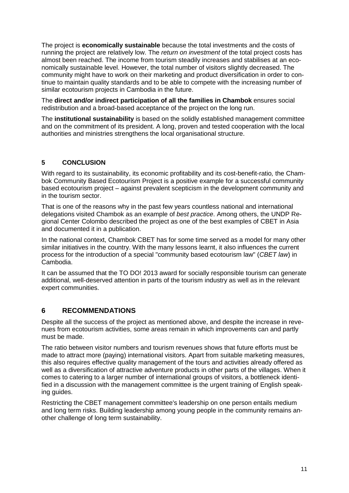The project is **economically sustainable** because the total investments and the costs of running the project are relatively low. The *return on investment* of the total project costs has almost been reached. The income from tourism steadily increases and stabilises at an economically sustainable level. However, the total number of visitors slightly decreased. The community might have to work on their marketing and product diversification in order to continue to maintain quality standards and to be able to compete with the increasing number of similar ecotourism projects in Cambodia in the future.

The **direct and/or indirect participation of all the families in Chambok** ensures social redistribution and a broad-based acceptance of the project on the long run.

The **institutional sustainability** is based on the solidly established management committee and on the commitment of its president. A long, proven and tested cooperation with the local authorities and ministries strengthens the local organisational structure.

### **5 CONCLUSION**

With regard to its sustainability, its economic profitability and its cost-benefit-ratio*,* the Chambok Community Based Ecotourism Project is a positive example for a successful community based ecotourism project – against prevalent scepticism in the development community and in the tourism sector.

That is one of the reasons why in the past few years countless national and international delegations visited Chambok as an example of *best practice*. Among others, the UNDP Regional Center Colombo described the project as one of the best examples of CBET in Asia and documented it in a publication.

In the national context, Chambok CBET has for some time served as a model for many other similar initiatives in the country. With the many lessons learnt, it also influences the current process for the introduction of a special "community based ecotourism law" (*CBET law*) in Cambodia.

It can be assumed that the TO DO! 2013 award for socially responsible tourism can generate additional, well-deserved attention in parts of the tourism industry as well as in the relevant expert communities.

## **6 RECOMMENDATIONS**

Despite all the success of the project as mentioned above, and despite the increase in revenues from ecotourism activities, some areas remain in which improvements can and partly must be made.

The ratio between visitor numbers and tourism revenues shows that future efforts must be made to attract more (paying) international visitors. Apart from suitable marketing measures, this also requires effective quality management of the tours and activities already offered as well as a diversification of attractive adventure products in other parts of the villages. When it comes to catering to a larger number of international groups of visitors, a bottleneck identified in a discussion with the management committee is the urgent training of English speaking guides.

Restricting the CBET management committee's leadership on one person entails medium and long term risks. Building leadership among young people in the community remains another challenge of long term sustainability.